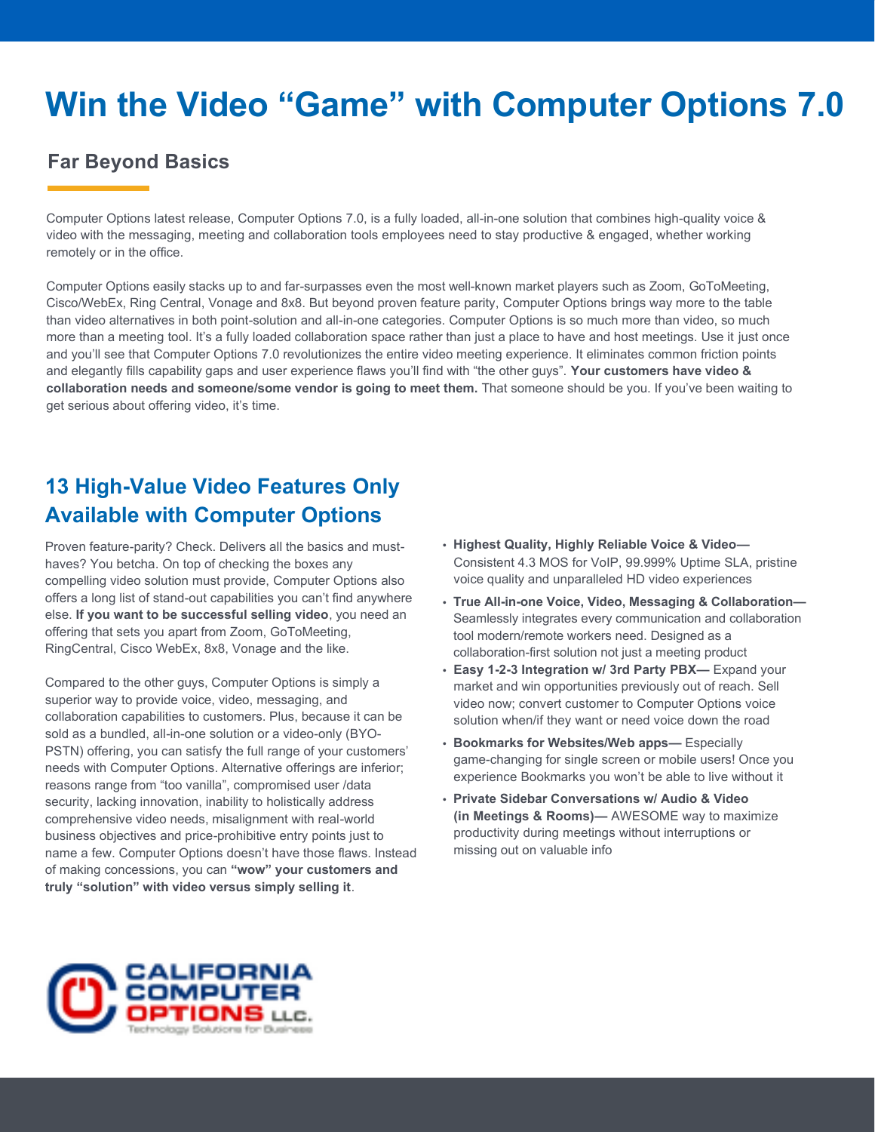# **Win the Video "Game" with Computer Options 7.0**

### **Far Beyond Basics**

Computer Options latest release, Computer Options 7.0, is a fully loaded, all-in-one solution that combines high-quality voice & video with the messaging, meeting and collaboration tools employees need to stay productive & engaged, whether working remotely or in the office.

Computer Options easily stacks up to and far-surpasses even the most well-known market players such as Zoom, GoToMeeting, Cisco/WebEx, Ring Central, Vonage and 8x8. But beyond proven feature parity, Computer Options brings way more to the table than video alternatives in both point-solution and all-in-one categories. Computer Options is so much more than video, so much more than a meeting tool. It's a fully loaded collaboration space rather than just a place to have and host meetings. Use it just once and you'll see that Computer Options 7.0 revolutionizes the entire video meeting experience. It eliminates common friction points and elegantly fills capability gaps and user experience flaws you'll find with "the other guys". **Your customers have video & collaboration needs and someone/some vendor is going to meet them.** That someone should be you. If you've been waiting to get serious about offering video, it's time.

### **13 High-Value Video Features Only Available with Computer Options**

Proven feature-parity? Check. Delivers all the basics and musthaves? You betcha. On top of checking the boxes any compelling video solution must provide, Computer Options also offers a long list of stand-out capabilities you can't find anywhere else. **If you want to be successful selling video**, you need an offering that sets you apart from Zoom, GoToMeeting, RingCentral, Cisco WebEx, 8x8, Vonage and the like.

Compared to the other guys, Computer Options is simply a superior way to provide voice, video, messaging, and collaboration capabilities to customers. Plus, because it can be sold as a bundled, all-in-one solution or a video-only (BYO-PSTN) offering, you can satisfy the full range of your customers' needs with Computer Options. Alternative offerings are inferior; reasons range from "too vanilla", compromised user /data security, lacking innovation, inability to holistically address comprehensive video needs, misalignment with real-world business objectives and price-prohibitive entry points just to name a few. Computer Options doesn't have those flaws. Instead of making concessions, you can **"wow" your customers and truly "solution" with video versus simply selling it**.

- **• Highest Quality, Highly Reliable Voice & Video—** Consistent 4.3 MOS for VoIP, 99.999% Uptime SLA, pristine voice quality and unparalleled HD video experiences
- **• True All-in-one Voice, Video, Messaging & Collaboration—** Seamlessly integrates every communication and collaboration tool modern/remote workers need. Designed as a collaboration-first solution not just a meeting product
- **• Easy 1-2-3 Integration w/ 3rd Party PBX—** Expand your market and win opportunities previously out of reach. Sell video now; convert customer to Computer Options voice solution when/if they want or need voice down the road
- **• Bookmarks for Websites/Web apps—** Especially game-changing for single screen or mobile users! Once you experience Bookmarks you won't be able to live without it
- **• Private Sidebar Conversations w/ Audio & Video (in Meetings & Rooms)—** AWESOME way to maximize productivity during meetings without interruptions or missing out on valuable info